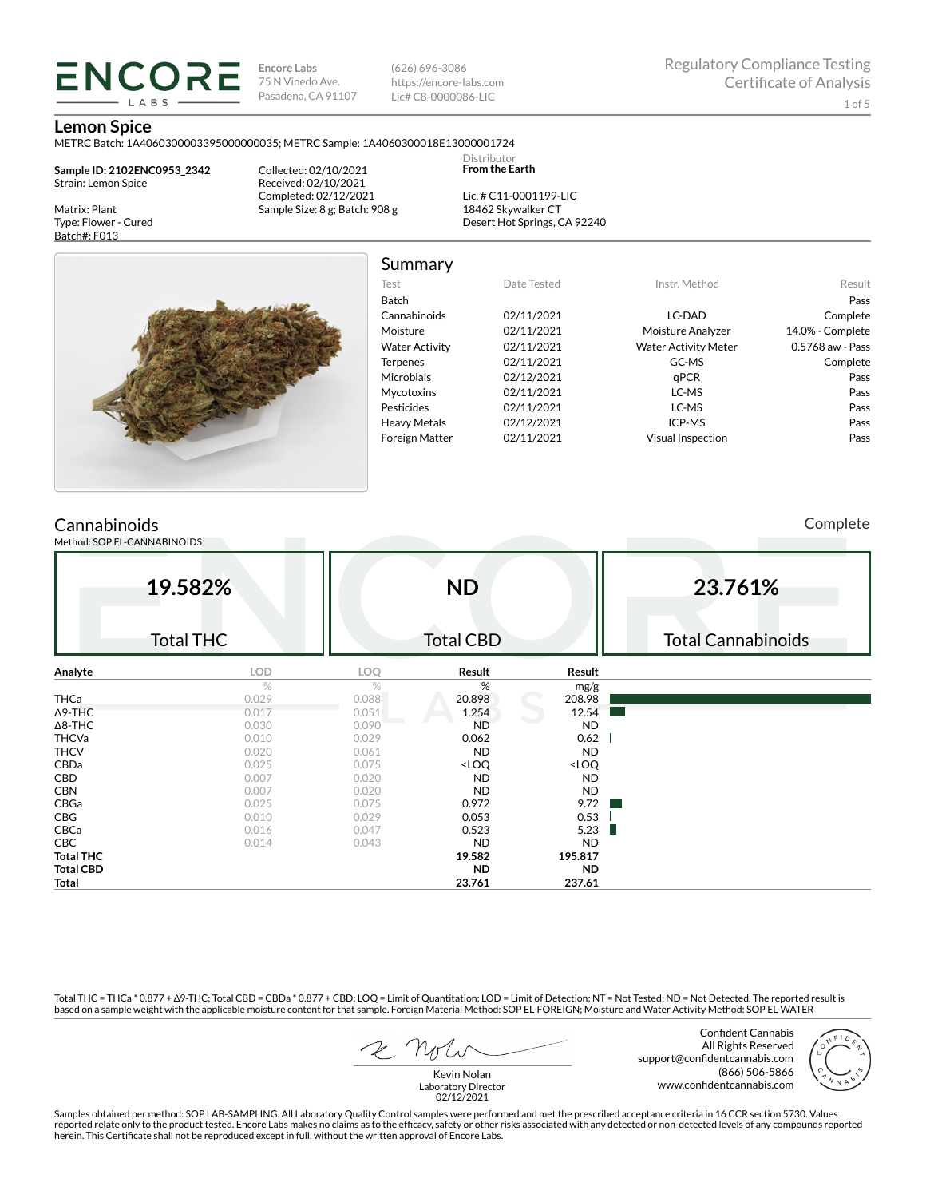**Encore Labs** 75 N Vinedo Ave. Pasadena, CA 91107 (626) 696-3086 https://encore-labs.com Lic# C8-0000086-LIC

> Distributor **From the Earth**

#### **Lemon Spice**

METRC Batch: 1A4060300003395000000035; METRC Sample: 1A4060300018E13000001724

**Sample ID: 2102ENC0953\_2342** Strain: Lemon Spice

**ENCORE** LABS

Matrix: Plant Type: Flower - Cured Batch#: F013

Collected: 02/10/2021 Received: 02/10/2021 Completed: 02/12/2021 Sample Size: 8 g; Batch: 908 g

Lic. # C11-0001199-LIC 18462 Skywalker CT Desert Hot Springs, CA 92240



Summary

| Date Tested | Instr. Method               | Result           |
|-------------|-----------------------------|------------------|
|             |                             | Pass             |
| 02/11/2021  | LC-DAD                      | Complete         |
| 02/11/2021  | Moisture Analyzer           | 14.0% - Complete |
| 02/11/2021  | <b>Water Activity Meter</b> | 0.5768 aw - Pass |
| 02/11/2021  | GC-MS                       | Complete         |
| 02/12/2021  | aPCR                        | Pass             |
| 02/11/2021  | LC-MS                       | Pass             |
| 02/11/2021  | LC-MS                       | Pass             |
| 02/12/2021  | ICP-MS                      | Pass             |
| 02/11/2021  | Visual Inspection           | Pass             |
|             |                             |                  |

## **Cannabinoids**

Method: SOP EL-CANNABINOIDS

Complete

|                  | 19.582%          |       | <b>ND</b>                                                |                              | 23.761%                   |
|------------------|------------------|-------|----------------------------------------------------------|------------------------------|---------------------------|
|                  | <b>Total THC</b> |       | <b>Total CBD</b>                                         |                              | <b>Total Cannabinoids</b> |
| Analyte          | LOD              | LOQ   | Result                                                   | Result                       |                           |
|                  | %                | %     | %                                                        | mg/g                         |                           |
| <b>THCa</b>      | 0.029            | 0.088 | 20.898                                                   | 208.98                       |                           |
| $\Delta$ 9-THC   | 0.017            | 0.051 | 1.254                                                    | 12.54                        |                           |
| $\Delta$ 8-THC   | 0.030            | 0.090 | <b>ND</b>                                                | <b>ND</b>                    |                           |
| <b>THCVa</b>     | 0.010            | 0.029 | 0.062                                                    | 0.62                         |                           |
| <b>THCV</b>      | 0.020            | 0.061 | <b>ND</b>                                                | <b>ND</b>                    |                           |
| CBDa             | 0.025            | 0.075 | <loq< td=""><td><loq< td=""><td></td></loq<></td></loq<> | <loq< td=""><td></td></loq<> |                           |
| CBD              | 0.007            | 0.020 | <b>ND</b>                                                | <b>ND</b>                    |                           |
| <b>CBN</b>       | 0.007            | 0.020 | <b>ND</b>                                                | <b>ND</b>                    |                           |
| CBGa             | 0.025            | 0.075 | 0.972                                                    | 9.72                         |                           |
| CBG              | 0.010            | 0.029 | 0.053                                                    | 0.53                         |                           |
| CBCa             | 0.016            | 0.047 | 0.523                                                    | 5.23<br>ш                    |                           |
| CBC              | 0.014            | 0.043 | <b>ND</b>                                                | <b>ND</b>                    |                           |
| <b>Total THC</b> |                  |       | 19.582                                                   | 195.817                      |                           |
| <b>Total CBD</b> |                  |       | <b>ND</b>                                                | <b>ND</b>                    |                           |
| Total            |                  |       | 23.761                                                   | 237.61                       |                           |

Total THC = THCa \* 0.877 + ∆9-THC; Total CBD = CBDa \* 0.877 + CBD; LOQ = Limit of Quantitation; LOD = Limit of Detection; NT = Not Tested; ND = Not Detected. The reported result is based on a sample weight with the applicable moisture content for that sample. Foreign Material Method: SOP EL-FOREIGN; Moisture and Water Activity Method: SOP EL-WATER

Confident Cannabis All Rights Reserved support@confidentcannabis.com (866) 506-5866 www.confidentcannabis.com



Kevin Nolan Laboratory Director 02/12/2021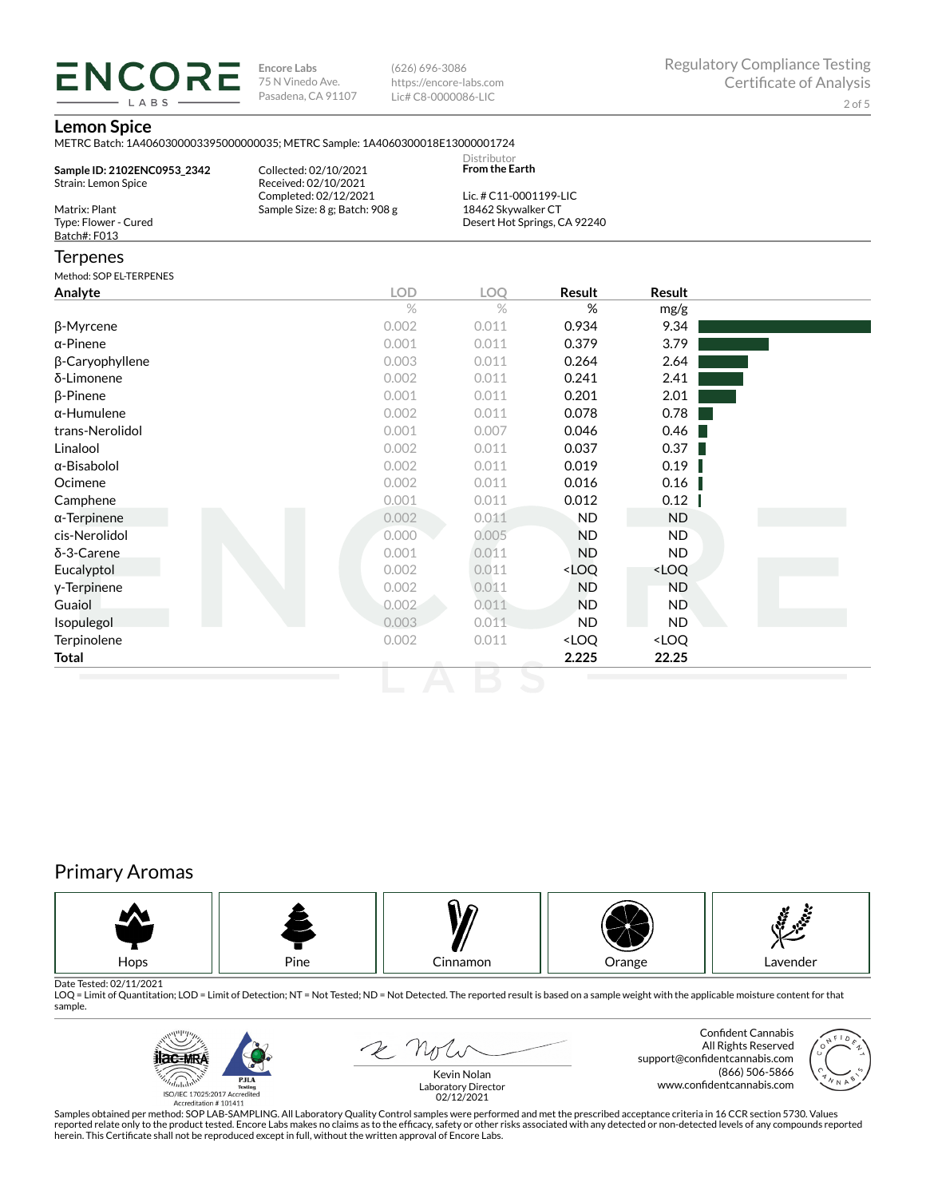**ENCORE Encore Labs** 75 N Vinedo Ave. Pasadena, CA 91107

(626) 696-3086 https://encore-labs.com Lic# C8-0000086-LIC

### **Lemon Spice**

LABS

| LUIIUII JUIUU                                         | METRC Batch: 1A4060300003395000000035; METRC Sample: 1A4060300018E13000001724 | Distributor                                        |                                                          |                              |  |
|-------------------------------------------------------|-------------------------------------------------------------------------------|----------------------------------------------------|----------------------------------------------------------|------------------------------|--|
| Sample ID: 2102ENC0953_2342<br>Strain: Lemon Spice    | Collected: 02/10/2021<br>Received: 02/10/2021<br>Completed: 02/12/2021        | <b>From the Earth</b><br>Lic. # C11-0001199-LIC    |                                                          |                              |  |
| Matrix: Plant<br>Type: Flower - Cured<br>Batch#: F013 | Sample Size: 8 g; Batch: 908 g                                                | 18462 Skywalker CT<br>Desert Hot Springs, CA 92240 |                                                          |                              |  |
| Terpenes                                              |                                                                               |                                                    |                                                          |                              |  |
| Method: SOP EL-TERPENES                               |                                                                               |                                                    |                                                          |                              |  |
| Analyte                                               | <b>LOD</b>                                                                    | <b>LOO</b>                                         | <b>Result</b>                                            | <b>Result</b>                |  |
|                                                       | $\%$                                                                          | $\%$                                               | %                                                        | mg/g                         |  |
| β-Myrcene                                             | 0.002                                                                         | 0.011                                              | 0.934                                                    | 9.34                         |  |
| α-Pinene                                              | 0.001                                                                         | 0.011                                              | 0.379                                                    | 3.79                         |  |
| β-Caryophyllene                                       | 0.003                                                                         | 0.011                                              | 0.264                                                    | 2.64                         |  |
| δ-Limonene                                            | 0.002                                                                         | 0.011                                              | 0.241                                                    | 2.41                         |  |
| β-Pinene                                              | 0.001                                                                         | 0.011                                              | 0.201                                                    | 2.01                         |  |
| α-Humulene                                            | 0.002                                                                         | 0.011                                              | 0.078                                                    | 0.78                         |  |
| trans-Nerolidol                                       | 0.001                                                                         | 0.007                                              | 0.046                                                    | 0.46                         |  |
| Linalool                                              | 0.002                                                                         | 0.011                                              | 0.037                                                    | 0.37                         |  |
| α-Bisabolol                                           | 0.002                                                                         | 0.011                                              | 0.019                                                    | 0.19                         |  |
| Ocimene                                               | 0.002                                                                         | 0.011                                              | 0.016                                                    | 0.16                         |  |
| Camphene                                              | 0.001                                                                         | 0.011                                              | 0.012                                                    | 0.12                         |  |
| α-Terpinene                                           | 0.002                                                                         | 0.011                                              | <b>ND</b>                                                | <b>ND</b>                    |  |
| cis-Nerolidol                                         | 0.000                                                                         | 0.005                                              | <b>ND</b>                                                | <b>ND</b>                    |  |
| δ-3-Carene                                            | 0.001                                                                         | 0.011                                              | <b>ND</b>                                                | <b>ND</b>                    |  |
| Eucalyptol                                            | 0.002                                                                         | 0.011                                              | <loq< td=""><td><loq< td=""><td></td></loq<></td></loq<> | <loq< td=""><td></td></loq<> |  |
| y-Terpinene                                           | 0.002                                                                         | 0.011                                              | <b>ND</b>                                                | <b>ND</b>                    |  |
| Guaiol                                                | 0.002                                                                         | 0.011                                              | <b>ND</b>                                                | <b>ND</b>                    |  |
| Isopulegol                                            | 0.003                                                                         | 0.011                                              | <b>ND</b>                                                | <b>ND</b>                    |  |
| Terpinolene                                           | 0.002                                                                         | 0.011                                              | <loq< td=""><td><loq< td=""><td></td></loq<></td></loq<> | <loq< td=""><td></td></loq<> |  |
| Total                                                 |                                                                               |                                                    | 2.225                                                    | 22.25                        |  |

# Primary Aromas



Date Tested: 02/11/2021<br>LOQ = Limit of Quantitation; LOD = Limit of Detection; NT = Not Tested; ND = Not Detected. The reported result is based on a sample weight with the applicable moisture content for that sample.



 $2N$ 

Confident Cannabis All Rights Reserved support@confidentcannabis.com (866) 506-5866 www.confidentcannabis.com

Kevin Nolan Laboratory Director 02/12/2021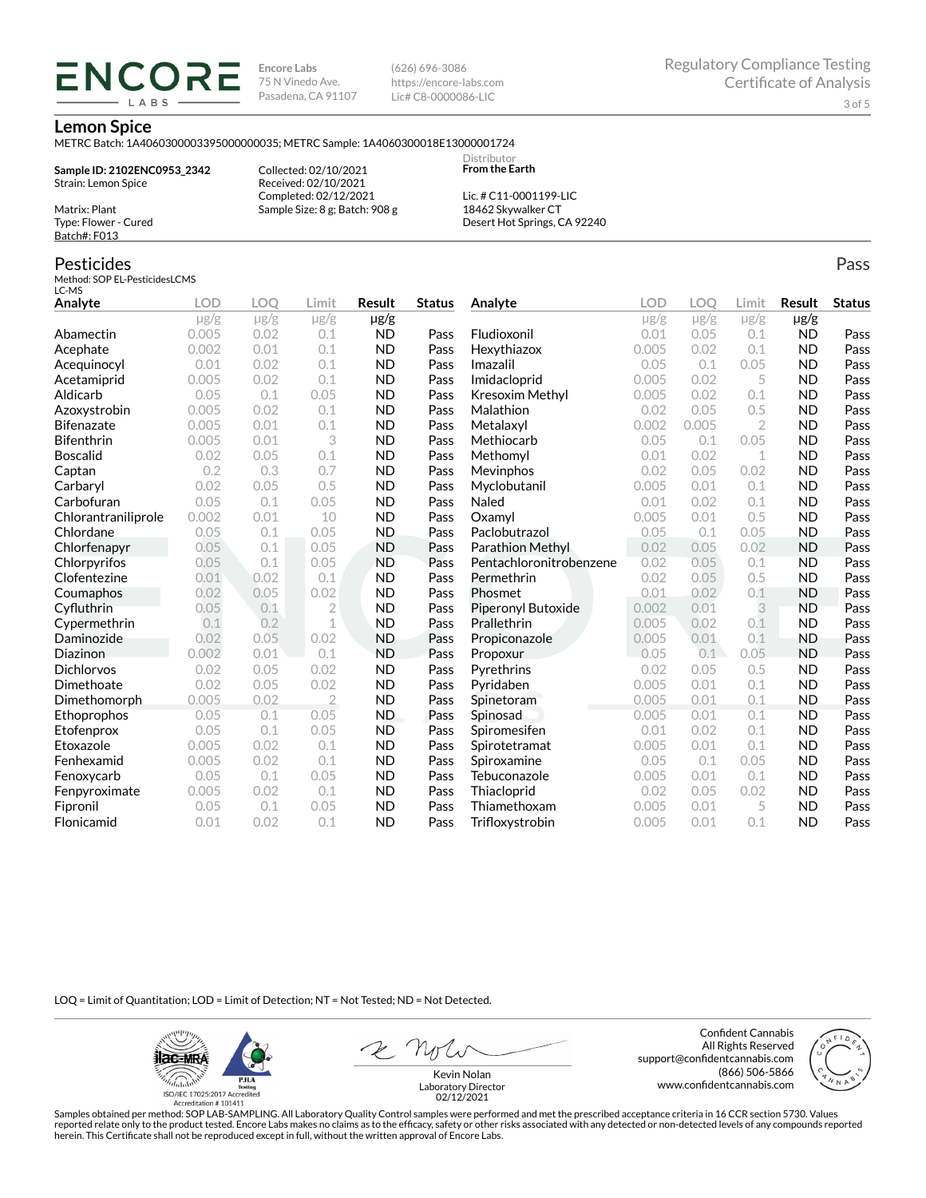**Encore Labs** 75 N Vinedo Ave. Pasadena, CA 91107 (626) 696-3086 https://encore-labs.com Lic# C8-0000086-LIC

> **Distributor From the Earth**

#### **Lemon Spice**

Matrix: Plant Type: Flower - Cured Batch#: F013

METRC Batch: 1A4060300003395000000035; METRC Sample: 1A4060300018E13000001724

**Sample ID: 2102ENC0953\_2342** Strain: Lemon Spice

ENCORE LABS

> Received: 02/10/2021 Completed: 02/12/2021 Sample Size: 8 g; Batch: 908 g

Collected: 02/10/2021

Lic. # C11-0001199-LIC 18462 Skywalker CT Desert Hot Springs, CA 92240

#### Pesticides Method: SOP EL-PesticidesLCMS LC-MS **Analyte LOD LOQ Limit Result Status**  $\mu$ g/g  $\mu$ g/g  $\mu$ g/g  $\mu$ g/g Abamectin 0.005 0.02 0.1 ND Pass Acephate 0.002 0.01 0.1 ND Pass Acequinocyl 0.01 0.02 0.1 ND Pass Acetamiprid 0.005 0.02 0.1 ND Pass Aldicarb 0.05 0.1 0.05 ND Pass Azoxystrobin 0.005 0.02 0.1 ND Pass Bifenazate 0.005 0.01 0.1 ND Pass Bifenthrin 0.005 0.01 3 ND Pass Boscalid 0.02 0.05 0.1 ND Pass **Captan 12 0.2 0.3 0.7 ND Pass Carbaryl 0.02 0.05 0.5 ND Pass** Carbofuran 0.05 0.1 0.05 ND Pass Chlorantraniliprole 0.002 0.01 10 ND Pass Chlordane 0.05 0.1 0.05 ND Pass Chlorfenapyr 0.05 0.1 0.05 ND Pass Chlorpyrifos 0.05 0.1 0.05 ND Pass Clofentezine 0.01 0.02 0.1 ND Pass Coumaphos 0.02 0.05 0.02 ND Pass Cyfluthrin 0.05 0.1 2 ND Pass Cypermethrin 0.1 0.2 1 ND Pass Daminozide 0.02 0.05 0.02 ND Pass **Diazinon** 0.002 0.01 0.1 ND Pass Dichlorvos 0.02 0.05 0.02 ND Pass Dimethoate 0.02 0.05 0.02 ND Pass Dimethomorph 0.005 0.02 2 ND Pass Ethoprophos 0.05 0.1 0.05 ND Pass Etofenprox 0.05 0.1 0.05 ND Pass Etoxazole 0.005 0.02 0.1 ND Pass Fenhexamid 0.005 0.02 0.1 ND Pass Fenoxycarb 0.05 0.1 0.05 ND Pass Fenpyroximate 0.005 0.02 0.1 ND Pass Fipronil 0.05 0.1 0.05 ND Pass Flonicamid 0.01 0.02 0.1 ND Pass **Analyte LOD LOQ Limit Result Status**  $\mu$ g/g  $\mu$ g/g  $\mu$ g/g  $\mu$ g/g Fludioxonil 0.01 0.05 0.1 ND Pass Hexythiazox 0.005 0.02 0.1 ND Pass **Imazalil 11 0.05 0.1 0.05 ND Pass** Imidacloprid 0.005 0.02 5 ND Pass Kresoxim Methyl  $0.005$  0.02 0.1 ND Pass **Malathion** 0.02 0.05 0.5 **ND Pass** Metalaxyl 0.002 0.005 2 ND Pass Methiocarb 0.05 0.1 0.05 ND Pass **Methomyl** 0.01 0.02 1 **ND Pass** Mevinphos 0.02 0.05 0.02 ND Pass Myclobutanil 0.005 0.01 0.1 ND Pass **Naled 1200 0.01 0.02 0.1 ND Pass Oxamyl** 0.005 0.01 0.5 **ND Pass** Paclobutrazol 0.05 0.1 0.05 ND Pass Parathion Methyl 0.02 0.05 0.02 ND Pass Pentachloronitrobenzene 0.02 0.05 0.1 ND Pass Permethrin 0.02 0.05 0.5 ND Pass Phosmet 0.01 0.02 0.1 ND Pass Piperonyl Butoxide 0.002 0.01 3 ND Pass Prallethrin 0.005 0.02 0.1 ND Pass Propiconazole 0.005 0.01 0.1 ND Pass **Propoxur 1988 0.05 0.1 0.05 ND Pass** Pyrethrins 0.02 0.05 0.5 ND Pass **Pyridaben 1988 0.005 0.01 0.1 ND Pass Spinetoram 0.005 0.01 0.1 ND Pass** Spinosad 0.005 0.01 0.1 ND Pass Spiromesifen 0.01 0.02 0.1 ND Pass Spirotetramat 0.005 0.01 0.1 ND Pass Spiroxamine 0.05 0.1 0.05 ND Pass Tebuconazole 0.005 0.01 0.1 ND Pass Thiacloprid 0.02 0.05 0.02 ND Pass Thiamethoxam 0.005 0.01 5 ND Pass Trifloxystrobin 0.005 0.01 0.1 ND Pass

LOQ = Limit of Quantitation; LOD = Limit of Detection; NT = Not Tested; ND = Not Detected.

**ilac-MRA P.ILA** أيطيبك ISO/IEC 17025:2017 Ac

Accreditation #101411

Z Nolw

Confident Cannabis All Rights Reserved support@confidentcannabis.com (866) 506-5866 www.confidentcannabis.com



Kevin Nolan Laboratory Director 02/12/2021

Samples obtained per method: SOP LAB-SAMPLING. All Laboratory Quality Control samples were performed and met the prescribed acceptance criteria in 16 CCR section 5730. Values reported relate only to the product tested. Encore Labs makes no claims as to the efficacy, safety or other risks associated with any detected or non-detected levels of any compounds reported herein. This Certificate shall not be reproduced except in full, without the written approval of Encore Labs.

Pass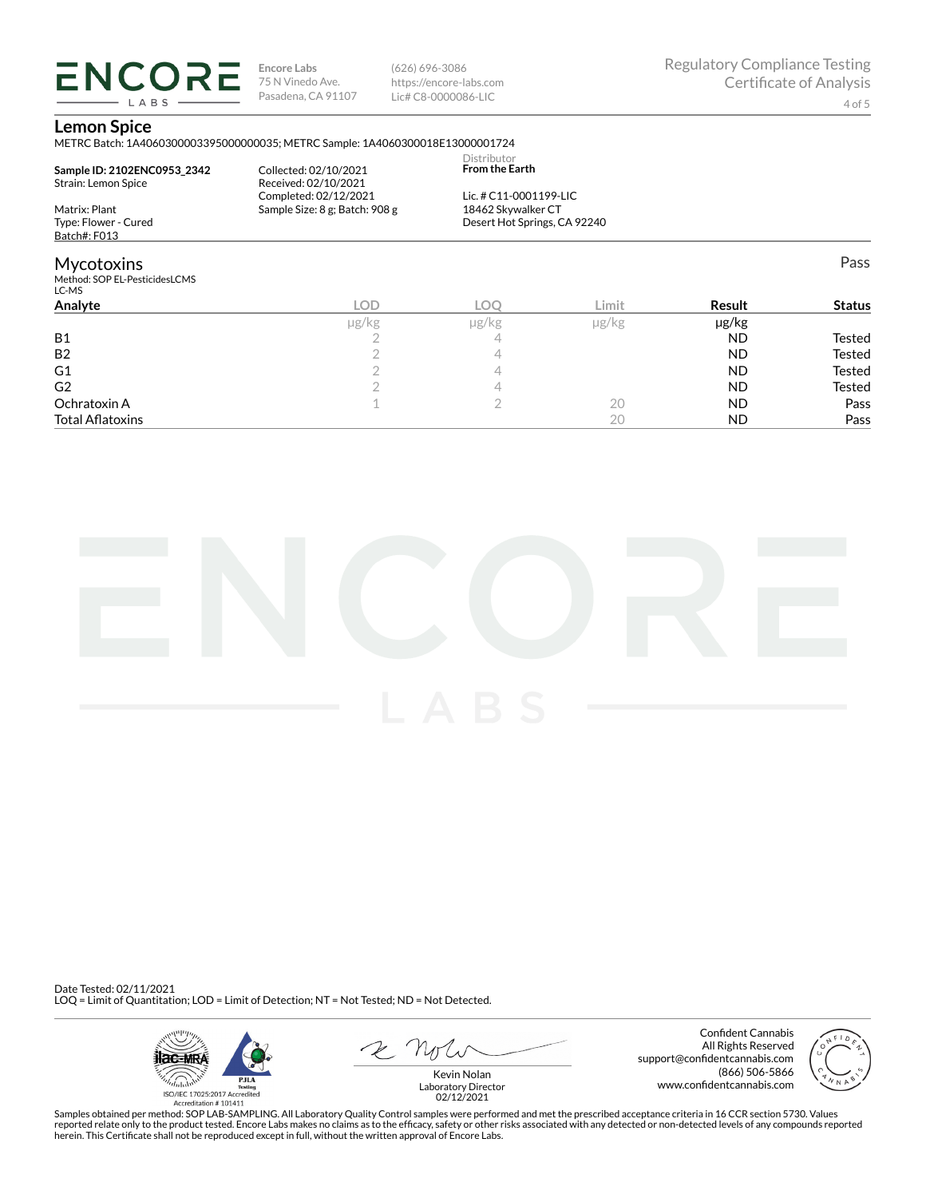**ENCORE Encore Labs** 75 N Vinedo Ave. Pasadena, CA 91107 LABS

(626) 696-3086 https://encore-labs.com Lic# C8-0000086-LIC

Pass

### **Lemon Spice**

METRC Batch: 1A4060300003395000000035; METRC Sample: 1A4060300018E13000001724

| Sample ID: 2102ENC0953 2342<br>Strain: Lemon Spice   | Collected: 02/10/2021<br>Received: 02/10/2021<br>Completed: 02/12/2021 | Distributor<br><b>From the Earth</b><br>Lic. # C11-0001199-LIC |       |  |
|------------------------------------------------------|------------------------------------------------------------------------|----------------------------------------------------------------|-------|--|
| Matrix: Plant                                        | Sample Size: 8 g; Batch: 908 g                                         | 18462 Skywalker CT                                             |       |  |
| Type: Flower - Cured                                 |                                                                        | Desert Hot Springs, CA 92240                                   |       |  |
| Batch#: F013                                         |                                                                        |                                                                |       |  |
| Mycotoxins<br>Method: SOP EL-PesticidesLCMS<br>LC-MS |                                                                        |                                                                |       |  |
| $A = -1$                                             | $\cap$                                                                 | $\sim$                                                         | 1.334 |  |

| Analyte                 | LOD   | C     | Limit | Result    | <b>Status</b> |
|-------------------------|-------|-------|-------|-----------|---------------|
|                         | µg/kg | µg/kg | µg/kg | µg/kg     |               |
| <b>B1</b>               |       |       |       | <b>ND</b> | Tested        |
| <b>B2</b>               |       |       |       | <b>ND</b> | <b>Tested</b> |
| G <sub>1</sub>          |       |       |       | <b>ND</b> | <b>Tested</b> |
| G <sub>2</sub>          |       |       |       | <b>ND</b> | Tested        |
| Ochratoxin A            |       |       | 20    | <b>ND</b> | Pass          |
| <b>Total Aflatoxins</b> |       |       | 20    | <b>ND</b> | Pass          |



Date Tested: 02/11/2021 LOQ = Limit of Quantitation; LOD = Limit of Detection; NT = Not Tested; ND = Not Detected.



Confident Cannabis All Rights Reserved support@confidentcannabis.com (866) 506-5866 www.confidentcannabis.com



Kevin Nolan Laboratory Director 02/12/2021